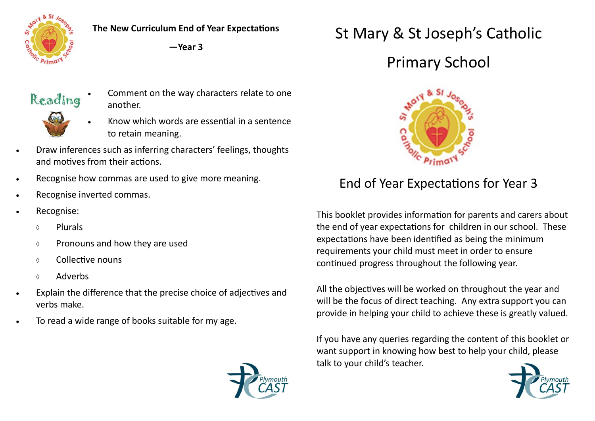

**The New Curriculum End of Year Expectations**

**—Year 3**

## Reading



- Comment on the way characters relate to one another.
- Know which words are essential in a sentence to retain meaning.
- Draw inferences such as inferring characters' feelings, thoughts and motives from their actions.
- Recognise how commas are used to give more meaning.
- Recognise inverted commas.
- Recognise:
	- Plurals
	- $\Diamond$  Pronouns and how they are used
	- Collective nouns
	- Adverbs
- Explain the difference that the precise choice of adjectives and verbs make.
- To read a wide range of books suitable for my age.

# St Mary & St Joseph's Catholic

# Primary School



### End of Year Expectations for Year 3

This booklet provides information for parents and carers about the end of year expectations for children in our school. These expectations have been identified as being the minimum requirements your child must meet in order to ensure continued progress throughout the following year.

All the objectives will be worked on throughout the year and will be the focus of direct teaching. Any extra support you can provide in helping your child to achieve these is greatly valued.

If you have any queries regarding the content of this booklet or want support in knowing how best to help your child, please talk to your child's teacher.